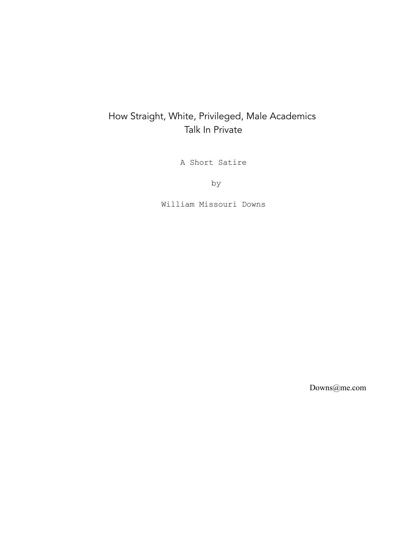# How Straight, White, Privileged, Male Academics Talk In Private

A Short Satire

by

William Missouri Downs

Downs@me.com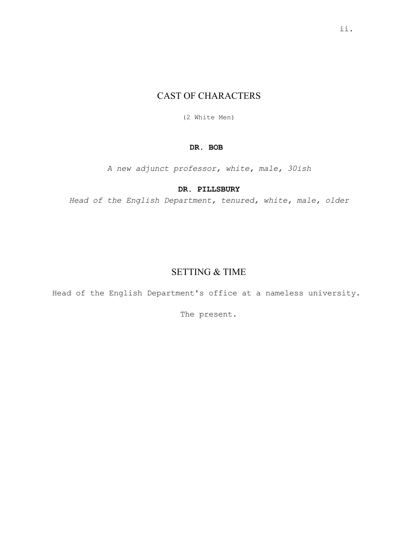# CAST OF CHARACTERS

(2 White Men)

# **DR. BOB**

*A new adjunct professor, white, male, 30ish*

# **DR. PILLSBURY**

*Head of the English Department, tenured, white, male, older*

# SETTING & TIME

Head of the English Department's office at a nameless university.

The present.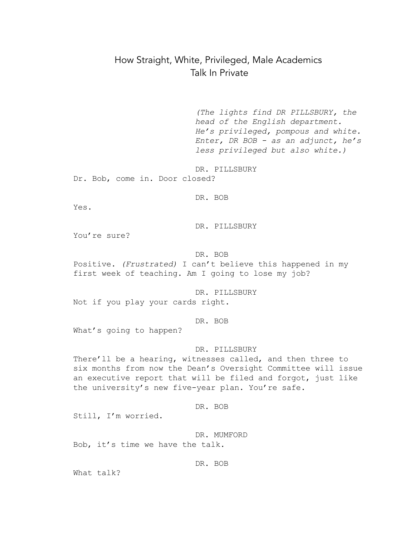# How Straight, White, Privileged, Male Academics Talk In Private

*(The lights find DR PILLSBURY, the head of the English department. He's privileged, pompous and white. Enter, DR BOB - as an adjunct, he's less privileged but also white.)*

DR. PILLSBURY Dr. Bob, come in. Door closed?

DR. BOB

Yes.

DR. PILLSBURY

You're sure?

DR. BOB

Positive. *(Frustrated)* I can't believe this happened in my first week of teaching. Am I going to lose my job?

DR. PILLSBURY

Not if you play your cards right.

DR. BOB

What's going to happen?

#### DR. PILLSBURY

There'll be a hearing, witnesses called, and then three to six months from now the Dean's Oversight Committee will issue an executive report that will be filed and forgot, just like the university's new five-year plan. You're safe.

DR. BOB

Still, I'm worried.

DR. MUMFORD Bob, it's time we have the talk.

DR. BOB

What talk?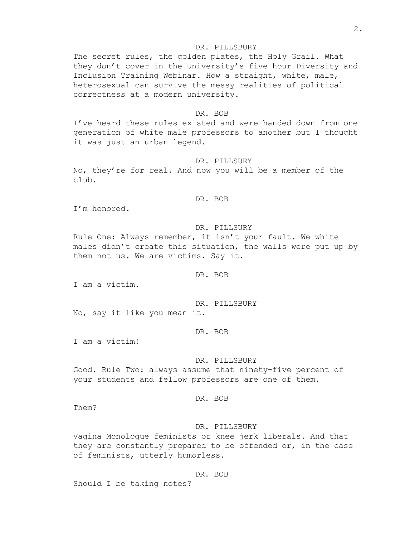The secret rules, the golden plates, the Holy Grail. What they don't cover in the University's five hour Diversity and Inclusion Training Webinar. How a straight, white, male, heterosexual can survive the messy realities of political correctness at a modern university.

#### DR. BOB

I've heard these rules existed and were handed down from one generation of white male professors to another but I thought it was just an urban legend.

#### DR. PILLSURY

No, they're for real. And now you will be a member of the club.

## DR. BOB

I'm honored.

## DR. PILLSURY

Rule One: Always remember, it isn't your fault. We white males didn't create this situation, the walls were put up by them not us. We are victims. Say it.

### DR. BOB

I am a victim.

DR. PILLSBURY No, say it like you mean it.

DR. BOB

I am a victim!

#### DR. PILLSBURY

Good. Rule Two: always assume that ninety-five percent of your students and fellow professors are one of them.

## DR. BOB

Them?

## DR. PILLSBURY

Vagina Monologue feminists or knee jerk liberals. And that they are constantly prepared to be offended or, in the case of feminists, utterly humorless.

#### DR. BOB

Should I be taking notes?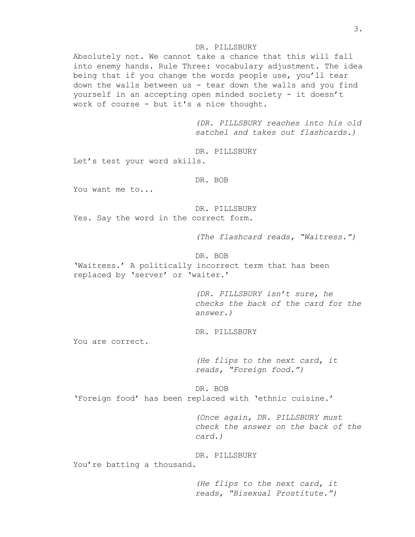Absolutely not. We cannot take a chance that this will fall into enemy hands. Rule Three: vocabulary adjustment. The idea being that if you change the words people use, you'll tear down the walls between us - tear down the walls and you find yourself in an accepting open minded society - it doesn't work of course - but it's a nice thought.

> *(DR. PILLSBURY reaches into his old satchel and takes out flashcards.)*

DR. PILLSBURY Let's test your word skills.

DR. BOB

You want me to...

DR. PILLSBURY Yes. Say the word in the correct form.

*(The flashcard reads, "Waitress.")*

DR. BOB

'Waitress.' A politically incorrect term that has been replaced by 'server' or 'waiter.'

> *(DR. PILLSBURY isn't sure, he checks the back of the card for the answer.)*

DR. PILLSBURY

You are correct.

*(He flips to the next card, it reads, "Foreign food.")*

DR. BOB 'Foreign food' has been replaced with 'ethnic cuisine.'

> *(Once again, DR. PILLSBURY must check the answer on the back of the card.)*

## DR. PILLSBURY

You're batting a thousand.

*(He flips to the next card, it reads, "Bisexual Prostitute.")*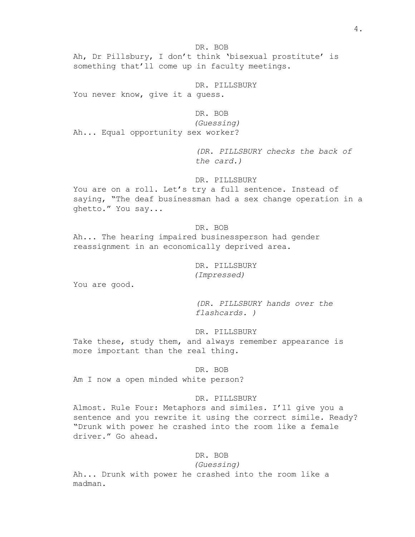DR. BOB Ah, Dr Pillsbury, I don't think 'bisexual prostitute' is something that'll come up in faculty meetings.

DR. PILLSBURY You never know, give it a guess.

## DR. BOB

*(Guessing)* Ah... Equal opportunity sex worker?

> *(DR. PILLSBURY checks the back of the card.)*

## DR. PILLSBURY

You are on a roll. Let's try a full sentence. Instead of saying, "The deaf businessman had a sex change operation in a ghetto." You say...

## DR. BOB

Ah... The hearing impaired businessperson had gender reassignment in an economically deprived area.

# DR. PILLSBURY *(Impressed)*

You are good.

*(DR. PILLSBURY hands over the flashcards. )*

## DR. PILLSBURY

Take these, study them, and always remember appearance is more important than the real thing.

#### DR. BOB

Am I now a open minded white person?

#### DR. PILLSBURY

Almost. Rule Four: Metaphors and similes. I'll give you a sentence and you rewrite it using the correct simile. Ready? "Drunk with power he crashed into the room like a female driver." Go ahead.

## DR. BOB

*(Guessing)*

Ah... Drunk with power he crashed into the room like a madman.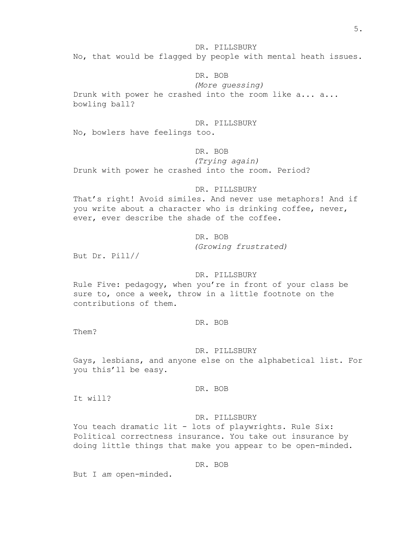No, that would be flagged by people with mental heath issues.

## DR. BOB

*(More guessing)* Drunk with power he crashed into the room like a... a... bowling ball?

## DR. PILLSBURY

No, bowlers have feelings too.

## DR. BOB

*(Trying again)* Drunk with power he crashed into the room. Period?

#### DR. PILLSBURY

That's right! Avoid similes. And never use metaphors! And if you write about a character who is drinking coffee, never, ever, ever describe the shade of the coffee.

DR. BOB

*(Growing frustrated)*

But Dr. Pill//

## DR. PILLSBURY

Rule Five: pedagogy, when you're in front of your class be sure to, once a week, throw in a little footnote on the contributions of them.

## DR. BOB

Them?

### DR. PILLSBURY

Gays, lesbians, and anyone else on the alphabetical list. For you this'll be easy.

## DR. BOB

It will?

#### DR. PILLSBURY

You teach dramatic lit - lots of playwrights. Rule Six: Political correctness insurance. You take out insurance by doing little things that make you appear to be open-minded.

## DR. BOB

But I *am* open-minded.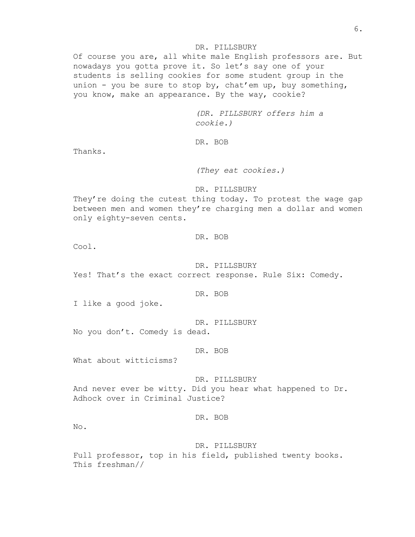Of course you are, all white male English professors are. But nowadays you gotta prove it. So let's say one of your students is selling cookies for some student group in the union - you be sure to stop by, chat'em up, buy something, you know, make an appearance. By the way, cookie?

> *(DR. PILLSBURY offers him a cookie.)*

DR. BOB

Thanks.

*(They eat cookies.)*

#### DR. PILLSBURY

They're doing the cutest thing today. To protest the wage gap between men and women they're charging men a dollar and women only eighty-seven cents.

## DR. BOB

Cool.

## DR. PILLSBURY

Yes! That's the exact correct response. Rule Six: Comedy.

#### DR. BOB

I like a good joke.

DR. PILLSBURY

No you don't. Comedy is dead.

DR. BOB

What about witticisms?

DR. PILLSBURY And never ever be witty. Did you hear what happened to Dr. Adhock over in Criminal Justice?

## DR. BOB

No.

#### DR. PILLSBURY

Full professor, top in his field, published twenty books. This freshman//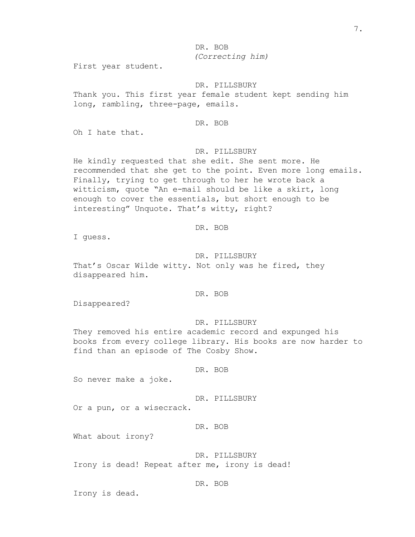DR. BOB *(Correcting him)*

First year student.

DR. PILLSBURY

Thank you. This first year female student kept sending him long, rambling, three-page, emails.

DR. BOB

Oh I hate that.

#### DR. PILLSBURY

He kindly requested that she edit. She sent more. He recommended that she get to the point. Even more long emails. Finally, trying to get through to her he wrote back a witticism, quote "An e-mail should be like a skirt, long enough to cover the essentials, but short enough to be interesting" Unquote. That's witty, right?

## DR. BOB

I guess.

#### DR. PILLSBURY

That's Oscar Wilde witty. Not only was he fired, they disappeared him.

## DR. BOB

Disappeared?

#### DR. PILLSBURY

They removed his entire academic record and expunged his books from every college library. His books are now harder to find than an episode of The Cosby Show.

DR. BOB

So never make a joke.

DR. PILLSBURY

Or a pun, or a wisecrack.

DR. BOB

What about irony?

DR. PILLSBURY

Irony is dead! Repeat after me, irony is dead!

## DR. BOB

Irony is dead.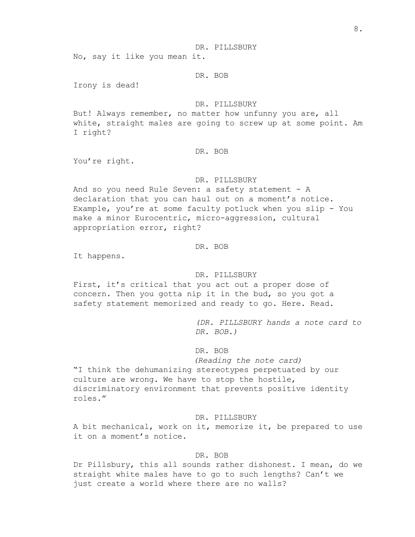No, say it like you mean it.

DR. BOB

Irony is dead!

## DR. PILLSBURY

But! Always remember, no matter how unfunny you are, all white, straight males are going to screw up at some point. Am I right?

#### DR. BOB

You're right.

## DR. PILLSBURY

And so you need Rule Seven: a safety statement - A declaration that you can haul out on a moment's notice. Example, you're at some faculty potluck when you slip - You make a minor Eurocentric, micro-aggression, cultural appropriation error, right?

# DR. BOB

It happens.

## DR. PILLSBURY

First, it's critical that you act out a proper dose of concern. Then you gotta nip it in the bud, so you got a safety statement memorized and ready to go. Here. Read.

> *(DR. PILLSBURY hands a note card to DR. BOB.)*

DR. BOB

*(Reading the note card)*

"I think the dehumanizing stereotypes perpetuated by our culture are wrong. We have to stop the hostile, discriminatory environment that prevents positive identity roles."

DR. PILLSBURY

A bit mechanical, work on it, memorize it, be prepared to use it on a moment's notice.

## DR. BOB

Dr Pillsbury, this all sounds rather dishonest. I mean, do we straight white males have to go to such lengths? Can't we just create a world where there are no walls?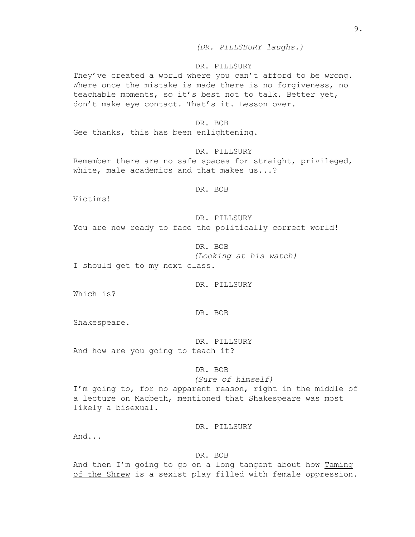They've created a world where you can't afford to be wrong. Where once the mistake is made there is no forgiveness, no teachable moments, so it's best not to talk. Better yet, don't make eye contact. That's it. Lesson over.

### DR. BOB

Gee thanks, this has been enlightening.

#### DR. PILLSURY

Remember there are no safe spaces for straight, privileged, white, male academics and that makes us...?

DR. BOB

Victims!

DR. PILLSURY You are now ready to face the politically correct world!

DR. BOB *(Looking at his watch)* I should get to my next class.

DR. PILLSURY

Which is?

DR. BOB

Shakespeare.

DR. PILLSURY And how are you going to teach it?

## DR. BOB

## *(Sure of himself)*

I'm going to, for no apparent reason, right in the middle of a lecture on Macbeth, mentioned that Shakespeare was most likely a bisexual.

DR. PILLSURY

And...

## DR. BOB

And then I'm going to go on a long tangent about how Taming of the Shrew is a sexist play filled with female oppression.